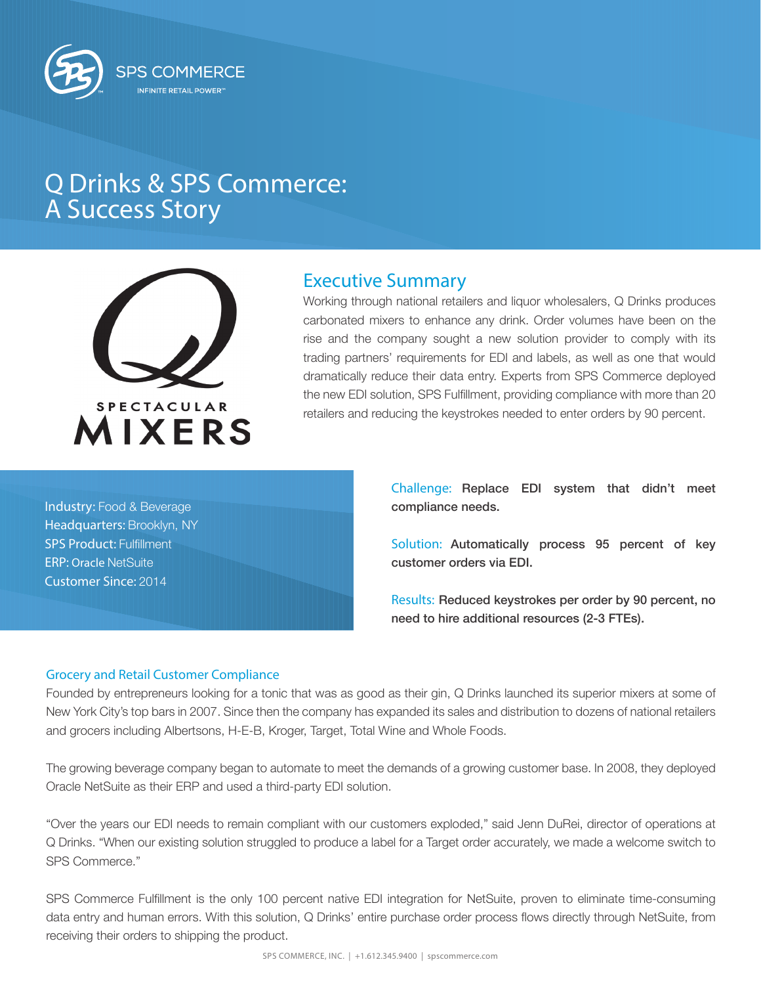

# Q Drinks & SPS Commerce: A Success Story



# Executive Summary

Working through national retailers and liquor wholesalers, Q Drinks produces carbonated mixers to enhance any drink. Order volumes have been on the rise and the company sought a new solution provider to comply with its trading partners' requirements for EDI and labels, as well as one that would dramatically reduce their data entry. Experts from SPS Commerce deployed the new EDI solution, SPS Fulfillment, providing compliance with more than 20 retailers and reducing the keystrokes needed to enter orders by 90 percent.

Industry: Food & Beverage Headquarters: Brooklyn, NY SPS Product: Fulfillment ERP: Oracle NetSuite Customer Since: 2014

Challenge: Replace EDI system that didn't meet compliance needs.

Solution: Automatically process 95 percent of key customer orders via EDI.

Results: Reduced keystrokes per order by 90 percent, no need to hire additional resources (2-3 FTEs).

## Grocery and Retail Customer Compliance

Founded by entrepreneurs looking for a tonic that was as good as their gin, Q Drinks launched its superior mixers at some of New York City's top bars in 2007. Since then the company has expanded its sales and distribution to dozens of national retailers and grocers including Albertsons, H-E-B, Kroger, Target, Total Wine and Whole Foods.

The growing beverage company began to automate to meet the demands of a growing customer base. In 2008, they deployed Oracle NetSuite as their ERP and used a third-party EDI solution.

"Over the years our EDI needs to remain compliant with our customers exploded," said Jenn DuRei, director of operations at Q Drinks. "When our existing solution struggled to produce a label for a Target order accurately, we made a welcome switch to SPS Commerce."

SPS Commerce Fulfillment is the only 100 percent native EDI integration for NetSuite, proven to eliminate time-consuming data entry and human errors. With this solution, Q Drinks' entire purchase order process flows directly through NetSuite, from receiving their orders to shipping the product.